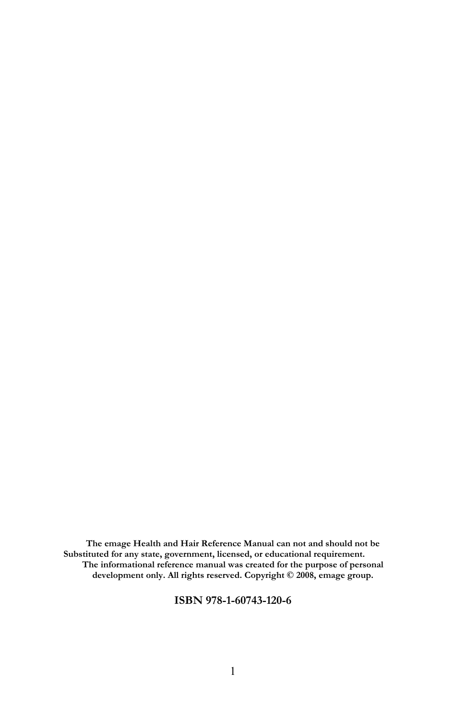The emage Health and Hair Reference Manual can not and should not be Substituted for any state, government, licensed, or educational requirement. The informational reference manual was created for the purpose of personal development only. All rights reserved. Copyright © 2008, emage group.

#### ISBN 978-1-60743-120-6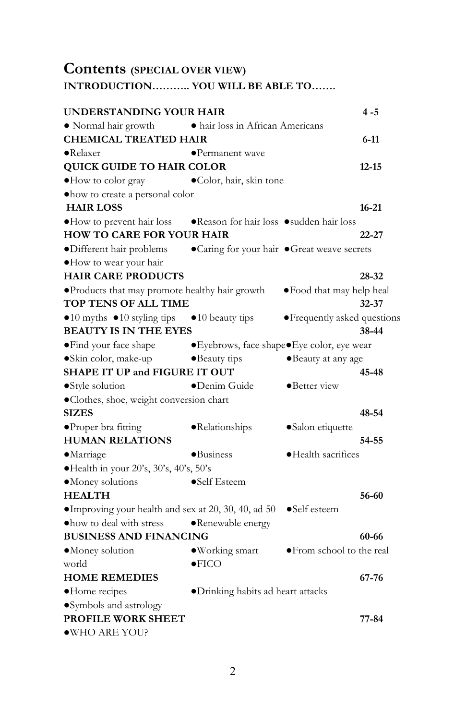## Contents (SPECIAL OVER VIEW)

### INTRODUCTION……….. YOU WILL BE ABLE TO…….

| UNDERSTANDING YOUR HAIR                                             |                                              |                              | $4 - 5$   |
|---------------------------------------------------------------------|----------------------------------------------|------------------------------|-----------|
| • Normal hair growth                                                | • hair loss in African Americans             |                              |           |
| <b>CHEMICAL TREATED HAIR</b>                                        |                                              |                              | $6 - 11$  |
| $\bullet$ Relaxer                                                   | $\bullet$ Permanent wave                     |                              |           |
| <b>QUICK GUIDE TO HAIR COLOR</b>                                    |                                              |                              | $12 - 15$ |
| . How to color gray                                                 | ·Color, hair, skin tone                      |                              |           |
| · how to create a personal color                                    |                                              |                              |           |
| <b>HAIR LOSS</b>                                                    |                                              |                              | $16 - 21$ |
| •How to prevent hair loss •Reason for hair loss •sudden hair loss   |                                              |                              |           |
| <b>HOW TO CARE FOR YOUR HAIR</b>                                    |                                              |                              | $22 - 27$ |
| ·Different hair problems                                            | • Caring for your hair • Great weave secrets |                              |           |
| · How to wear your hair                                             |                                              |                              |           |
| <b>HAIR CARE PRODUCTS</b>                                           |                                              |                              | 28-32     |
| • Products that may promote healthy hair growth                     |                                              | ·Food that may help heal     |           |
| TOP TENS OF ALL TIME                                                |                                              |                              | $32 - 37$ |
| $\bullet$ 10 myths $\bullet$ 10 styling tips                        | $\bullet$ 10 beauty tips                     | • Frequently asked questions |           |
| <b>BEAUTY IS IN THE EYES</b>                                        |                                              |                              | 38-44     |
| • Find your face shape • Eyebrows, face shape • Eye color, eye wear |                                              |                              |           |
| ·Skin color, make-up                                                | •Beauty tips                                 | •Beauty at any age           |           |
| <b>SHAPE IT UP and FIGURE IT OUT</b>                                |                                              |                              | 45-48     |
| •Style solution                                                     | •Denim Guide                                 | •Better view                 |           |
| ·Clothes, shoe, weight conversion chart                             |                                              |                              |           |
| SIZES                                                               |                                              |                              | 48-54     |
| ·Proper bra fitting                                                 | ·Relationships                               | •Salon etiquette             |           |
| <b>HUMAN RELATIONS</b>                                              |                                              |                              | 54-55     |
| ·Marriage                                                           | $\bullet$ Business                           | ·Health sacrifices           |           |
| ·Health in your 20's, 30's, 40's, 50's                              |                                              |                              |           |
| ·Money solutions                                                    | •Self Esteem                                 |                              |           |
| <b>HEALTH</b>                                                       |                                              |                              | 56-60     |
| ·Improving your health and sex at 20, 30, 40, ad 50                 |                                              | $\bullet$ Self esteem        |           |
| . how to deal with stress                                           | • Renewable energy                           |                              |           |
| BUSINESS AND FINANCING                                              |                                              |                              | 60-66     |
| ·Money solution                                                     | ·Working smart                               | • From school to the real    |           |
| world                                                               | $\bullet$ FICO                               |                              |           |
| <b>HOME REMEDIES</b>                                                |                                              |                              | 67-76     |
| ·Home recipes                                                       | ·Drinking habits ad heart attacks            |                              |           |
| ·Symbols and astrology                                              |                                              |                              |           |
| PROFILE WORK SHEET                                                  |                                              |                              | 77-84     |
| ·WHO ARE YOU?                                                       |                                              |                              |           |
|                                                                     |                                              |                              |           |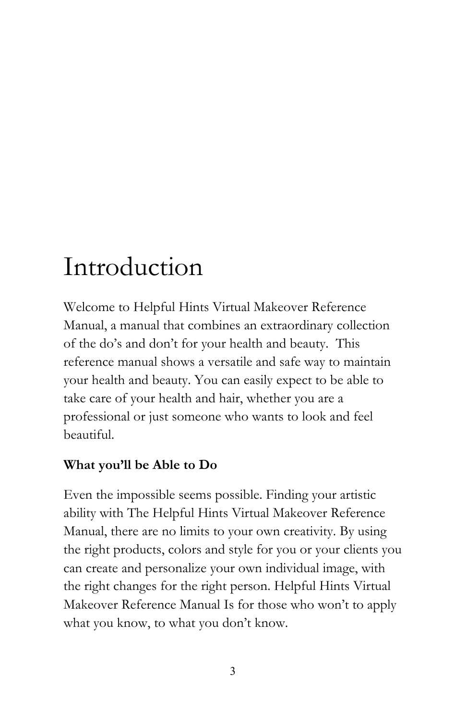# Introduction

Welcome to Helpful Hints Virtual Makeover Reference Manual, a manual that combines an extraordinary collection of the do's and don't for your health and beauty. This reference manual shows a versatile and safe way to maintain your health and beauty. You can easily expect to be able to take care of your health and hair, whether you are a professional or just someone who wants to look and feel beautiful.

## What you'll be Able to Do

Even the impossible seems possible. Finding your artistic ability with The Helpful Hints Virtual Makeover Reference Manual, there are no limits to your own creativity. By using the right products, colors and style for you or your clients you can create and personalize your own individual image, with the right changes for the right person. Helpful Hints Virtual Makeover Reference Manual Is for those who won't to apply what you know, to what you don't know.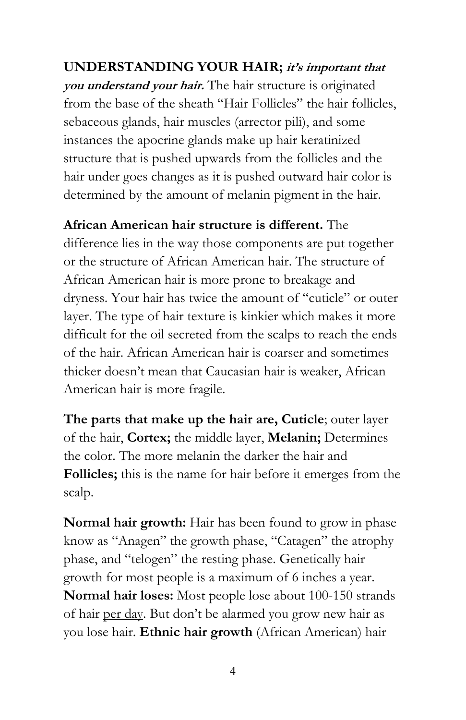UNDERSTANDING YOUR HAIR; it's important that you understand your hair. The hair structure is originated from the base of the sheath "Hair Follicles" the hair follicles, sebaceous glands, hair muscles (arrector pili), and some instances the apocrine glands make up hair keratinized structure that is pushed upwards from the follicles and the hair under goes changes as it is pushed outward hair color is determined by the amount of melanin pigment in the hair.

African American hair structure is different. The difference lies in the way those components are put together or the structure of African American hair. The structure of African American hair is more prone to breakage and dryness. Your hair has twice the amount of "cuticle" or outer layer. The type of hair texture is kinkier which makes it more difficult for the oil secreted from the scalps to reach the ends of the hair. African American hair is coarser and sometimes thicker doesn't mean that Caucasian hair is weaker, African American hair is more fragile.

The parts that make up the hair are, Cuticle; outer layer of the hair, Cortex; the middle layer, Melanin; Determines the color. The more melanin the darker the hair and Follicles; this is the name for hair before it emerges from the scalp.

Normal hair growth: Hair has been found to grow in phase know as "Anagen" the growth phase, "Catagen" the atrophy phase, and "telogen" the resting phase. Genetically hair growth for most people is a maximum of 6 inches a year. Normal hair loses: Most people lose about 100-150 strands of hair per day. But don't be alarmed you grow new hair as you lose hair. Ethnic hair growth (African American) hair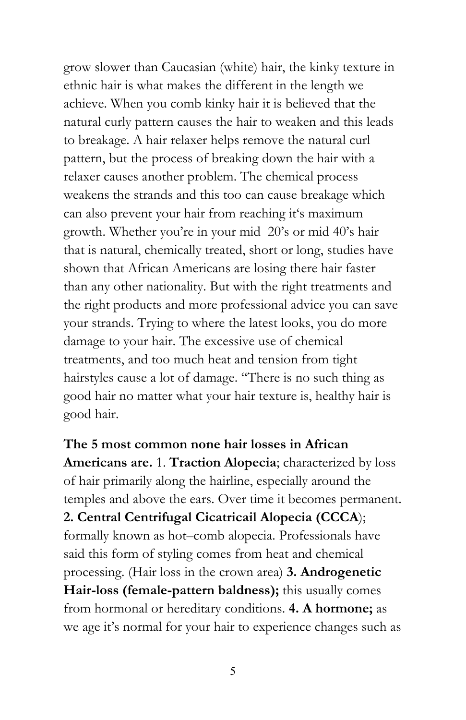grow slower than Caucasian (white) hair, the kinky texture in ethnic hair is what makes the different in the length we achieve. When you comb kinky hair it is believed that the natural curly pattern causes the hair to weaken and this leads to breakage. A hair relaxer helps remove the natural curl pattern, but the process of breaking down the hair with a relaxer causes another problem. The chemical process weakens the strands and this too can cause breakage which can also prevent your hair from reaching it's maximum growth. Whether you're in your mid 20's or mid 40's hair that is natural, chemically treated, short or long, studies have shown that African Americans are losing there hair faster than any other nationality. But with the right treatments and the right products and more professional advice you can save your strands. Trying to where the latest looks, you do more damage to your hair. The excessive use of chemical treatments, and too much heat and tension from tight hairstyles cause a lot of damage. "There is no such thing as good hair no matter what your hair texture is, healthy hair is good hair.

The 5 most common none hair losses in African Americans are. 1. Traction Alopecia; characterized by loss of hair primarily along the hairline, especially around the temples and above the ears. Over time it becomes permanent. 2. Central Centrifugal Cicatricail Alopecia (CCCA); formally known as hot–comb alopecia. Professionals have said this form of styling comes from heat and chemical processing. (Hair loss in the crown area) 3. Androgenetic Hair-loss (female-pattern baldness); this usually comes from hormonal or hereditary conditions. 4. A hormone; as we age it's normal for your hair to experience changes such as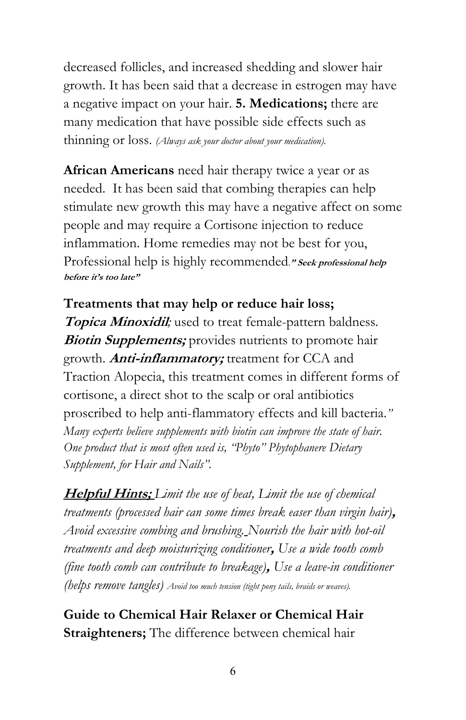decreased follicles, and increased shedding and slower hair growth. It has been said that a decrease in estrogen may have a negative impact on your hair. 5. Medications; there are many medication that have possible side effects such as thinning or loss. (Always ask your doctor about your medication).

African Americans need hair therapy twice a year or as needed. It has been said that combing therapies can help stimulate new growth this may have a negative affect on some people and may require a Cortisone injection to reduce inflammation. Home remedies may not be best for you, Professional help is highly recommended." Seek professional help before it's too late"

Treatments that may help or reduce hair loss; **Topica Minoxidil;** used to treat female-pattern baldness. **Biotin Supplements;** provides nutrients to promote hair growth. **Anti-inflammatory;** treatment for CCA and Traction Alopecia, this treatment comes in different forms of cortisone, a direct shot to the scalp or oral antibiotics proscribed to help anti-flammatory effects and kill bacteria." Many experts believe supplements with biotin can improve the state of hair. One product that is most often used is, "Phyto" Phytophanere Dietary Supplement, for Hair and Nails".

Helpful Hints; Limit the use of heat, Limit the use of chemical treatments (processed hair can some times break easer than virgin hair), Avoid excessive combing and brushing. Nourish the hair with hot-oil treatments and deep moisturizing conditioner, Use a wide tooth comb (fine tooth comb can contribute to breakage), Use a leave-in conditioner (helps remove tangles) Avoid too much tension (tight pony tails, braids or weaves).

Guide to Chemical Hair Relaxer or Chemical Hair Straighteners; The difference between chemical hair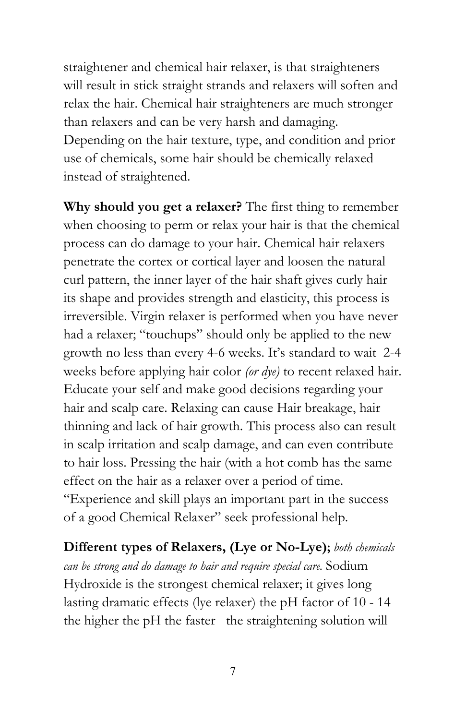straightener and chemical hair relaxer, is that straighteners will result in stick straight strands and relaxers will soften and relax the hair. Chemical hair straighteners are much stronger than relaxers and can be very harsh and damaging. Depending on the hair texture, type, and condition and prior use of chemicals, some hair should be chemically relaxed instead of straightened.

Why should you get a relaxer? The first thing to remember when choosing to perm or relax your hair is that the chemical process can do damage to your hair. Chemical hair relaxers penetrate the cortex or cortical layer and loosen the natural curl pattern, the inner layer of the hair shaft gives curly hair its shape and provides strength and elasticity, this process is irreversible. Virgin relaxer is performed when you have never had a relaxer; "touchups" should only be applied to the new growth no less than every 4-6 weeks. It's standard to wait 2-4 weeks before applying hair color *(or dye)* to recent relaxed hair. Educate your self and make good decisions regarding your hair and scalp care. Relaxing can cause Hair breakage, hair thinning and lack of hair growth. This process also can result in scalp irritation and scalp damage, and can even contribute to hair loss. Pressing the hair (with a hot comb has the same effect on the hair as a relaxer over a period of time. "Experience and skill plays an important part in the success of a good Chemical Relaxer" seek professional help.

Different types of Relaxers, (Lye or No-Lye); both chemicals can be strong and do damage to hair and require special care. Sodium Hydroxide is the strongest chemical relaxer; it gives long lasting dramatic effects (lye relaxer) the pH factor of 10 - 14 the higher the pH the faster the straightening solution will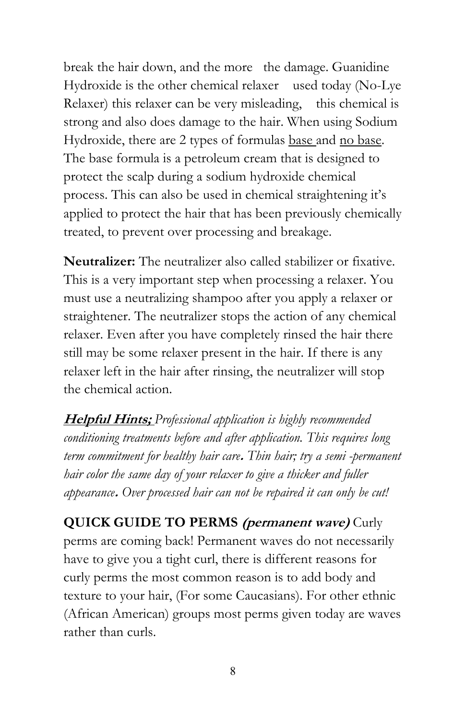break the hair down, and the more the damage. Guanidine Hydroxide is the other chemical relaxer used today (No-Lye Relaxer) this relaxer can be very misleading, this chemical is strong and also does damage to the hair. When using Sodium Hydroxide, there are 2 types of formulas base and no base. The base formula is a petroleum cream that is designed to protect the scalp during a sodium hydroxide chemical process. This can also be used in chemical straightening it's applied to protect the hair that has been previously chemically treated, to prevent over processing and breakage.

Neutralizer: The neutralizer also called stabilizer or fixative. This is a very important step when processing a relaxer. You must use a neutralizing shampoo after you apply a relaxer or straightener. The neutralizer stops the action of any chemical relaxer. Even after you have completely rinsed the hair there still may be some relaxer present in the hair. If there is any relaxer left in the hair after rinsing, the neutralizer will stop the chemical action.

**Helpful Hints;** Professional application is highly recommended conditioning treatments before and after application. This requires long term commitment for healthy hair care. Thin hair; try a semi -permanent hair color the same day of your relaxer to give a thicker and fuller appearance. Over processed hair can not be repaired it can only be cut!

QUICK GUIDE TO PERMS (permanent wave) Curly perms are coming back! Permanent waves do not necessarily have to give you a tight curl, there is different reasons for curly perms the most common reason is to add body and texture to your hair, (For some Caucasians). For other ethnic (African American) groups most perms given today are waves rather than curls.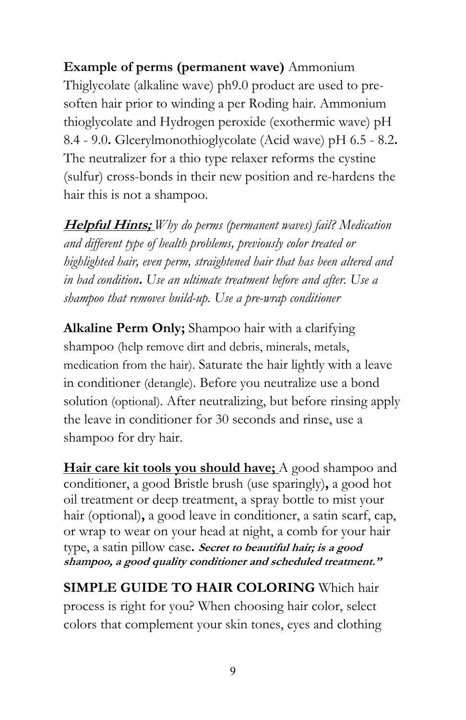Example of perms (permanent wave) Ammonium Thiglycolate (alkaline wave) ph9.0 product are used to presoften hair prior to winding a per Roding hair. Ammonium thioglycolate and Hydrogen peroxide (exothermic wave) pH 8.4 - 9.0. Glcerylmonothioglycolate (Acid wave) pH 6.5 - 8.2. The neutralizer for a thio type relaxer reforms the cystine (sulfur) cross-bonds in their new position and re-hardens the hair this is not a shampoo.

Helpful Hints; Why do perms (permanent waves) fail? Medication and different type of health problems, previously color treated or highlighted hair, even perm, straightened hair that has been altered and in bad condition. Use an ultimate treatment before and after. Use a shampoo that removes build-up. Use a pre-wrap conditioner

Alkaline Perm Only; Shampoo hair with a clarifying shampoo (help remove dirt and debris, minerals, metals, medication from the hair). Saturate the hair lightly with a leave in conditioner (detangle). Before you neutralize use a bond solution (optional). After neutralizing, but before rinsing apply the leave in conditioner for 30 seconds and rinse, use a shampoo for dry hair.

Hair care kit tools you should have; A good shampoo and conditioner, a good Bristle brush (use sparingly), a good hot oil treatment or deep treatment, a spray bottle to mist your hair (optional), a good leave in conditioner, a satin scarf, cap, or wrap to wear on your head at night, a comb for your hair type, a satin pillow case. Secret to beautiful hair; is a good shampoo, a good quality conditioner and scheduled treatment."

SIMPLE GUIDE TO HAIR COLORING Which hair process is right for you? When choosing hair color, select colors that complement your skin tones, eyes and clothing